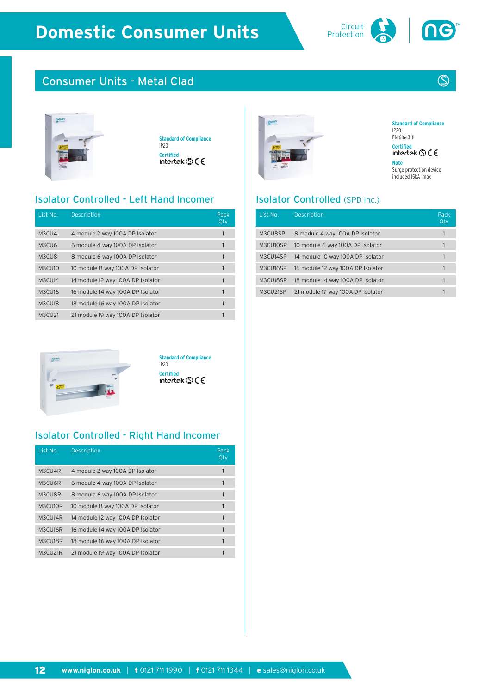

# Consumer Units - Metal Clad



**Standard of Compliance** IP20 **Certified**<br>intertek **S** C E

#### Isolator Controlled - Left Hand Incomer

| List No.      | <b>Description</b>                | Pack<br>Qty |
|---------------|-----------------------------------|-------------|
| M3CU4         | 4 module 2 way 100A DP Isolator   | 1           |
| M3CU6         | 6 module 4 way 100A DP Isolator   | 1           |
| M3CU8         | 8 module 6 way 100A DP Isolator   |             |
| M3CU10        | 10 module 8 way 100A DP Isolator  |             |
| M3CU14        | 14 module 12 way 100A DP Isolator |             |
| <b>M3CU16</b> | 16 module 14 way 100A DP Isolator |             |
| M3CU18        | 18 module 16 way 100A DP Isolator | 1           |
| <b>M3CU21</b> | 21 module 19 way 100A DP Isolator |             |



**Standard of Compliance** IP20 EN 61643-11 **Certified**<br>intertek © C E

 $\circledS$ 

**Note** Surge protection device included 15kA Imax

#### Isolator Controlled (SPD inc.)

| List No. | <b>Description</b>                | Pack<br>Qty |
|----------|-----------------------------------|-------------|
| M3CU8SP  | 8 module 4 way 100A DP Isolator   |             |
| M3CU10SP | 10 module 6 way 100A DP Isolator  |             |
| M3CU14SP | 14 module 10 way 100A DP Isolator |             |
| M3CU16SP | 16 module 12 way 100A DP Isolator |             |
| M3CU18SP | 18 module 14 way 100A DP Isolator |             |
| M3CU21SP | 21 module 17 way 100A DP Isolator |             |



**Standard of Compliance** IP20 **Certified**<br>intertek **S** C E

### Isolator Controlled - Right Hand Incomer

| List No. | <b>Description</b>                | Pack<br>Qty |
|----------|-----------------------------------|-------------|
| M3CU4R   | 4 module 2 way 100A DP Isolator   |             |
| M3CU6R   | 6 module 4 way 100A DP Isolator   | 1           |
| M3CU8R   | 8 module 6 way 100A DP Isolator   | 1           |
| M3CU10R  | 10 module 8 way 100A DP Isolator  |             |
| M3CU14R  | 14 module 12 way 100A DP Isolator | 1           |
| M3CU16R  | 16 module 14 way 100A DP Isolator | 1           |
| M3CU18R  | 18 module 16 way 100A DP Isolator | 1           |
| M3CU21R  | 21 module 19 way 100A DP Isolator |             |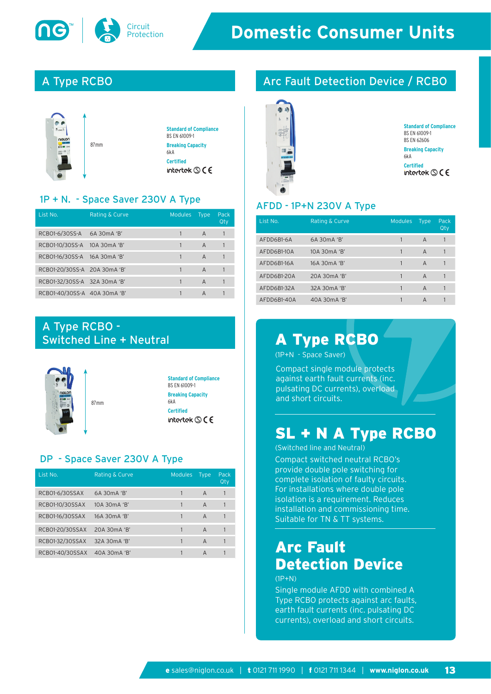

# A Type RCBO



#### 1P + N. - Space Saver 230V A Type

| List No.                     | Rating & Curve | <b>Modules</b> | <b>Type</b>    | Pack<br>Qty |
|------------------------------|----------------|----------------|----------------|-------------|
| RCB01-6/30SS-A 6A 30mA 'B'   |                |                | A              |             |
| RCB01-10/30SS-A 10A 30mA 'B' |                |                | $\overline{A}$ |             |
| RCB01-16/30SS-A 16A 30mA 'B' |                |                | A              |             |
| RCB01-20/30SS-A 20A 30mA 'B' |                |                | $\overline{A}$ |             |
| RCB01-32/30SS-A 32A 30mA 'B' |                |                | A              |             |
| RCB01-40/30SS-A 40A 30mA 'B' |                |                | A              |             |

# A Type RCBO - Switched Line + Neutral



### DP - Space Saver 230V A Type

| List No.        | <b>Rating &amp; Curve</b> | <b>Modules</b> | <b>Type</b>    | Pack<br>Qty |
|-----------------|---------------------------|----------------|----------------|-------------|
| RCBO1-6/30SSAX  | 6A 30mA 'B'               |                | $\overline{A}$ |             |
| RCB01-10/30SSAX | 10A 30mA 'B'              |                | $\overline{A}$ |             |
| RCB01-16/30SSAX | 16A 30mA 'B'              |                | A              |             |
| RCB01-20/30SSAX | 20A 30mA 'B'              |                | $\overline{A}$ |             |
| RCB01-32/30SSAX | 32A 30mA 'B'              |                | $\overline{A}$ |             |
| RCB01-40/30SSAX | 40A 30mA 'B'              |                | A              |             |

# Arc Fault Detection Device / RCBO



```
Standard of Compliance
BS EN 61009-1
BS EN 62606
Breaking Capacity
6kA 
Certified<br>intertek S C E
```
#### AFDD - 1P+N 230V A Type

| List No.    | <b>Rating &amp; Curve</b> | <b>Modules</b> | <b>Type</b>    | Pack<br>Qty |
|-------------|---------------------------|----------------|----------------|-------------|
| AFDD6B1-6A  | 6A 30mA 'B'               |                | A              |             |
| AFDD6B1-10A | 10A 30mA 'B'              |                | $\overline{A}$ |             |
| AFDD6B1-16A | 16A 30mA 'B'              |                | A              |             |
| AFDD6B1-20A | 20A 30mA 'B'              |                | A              |             |
| AFDD6B1-32A | 32A 30mA 'B'              |                | A              |             |
| AFDD6B1-40A | 40A 30mA 'B'              |                | A              |             |

# A Type RCBO

(1P+N - Space Saver)

Compact single module protects against earth fault currents (inc. pulsating DC currents), overload and short circuits.

# SL + N A Type RCBO

Compact switched neutral RCBO's provide double pole switching for complete isolation of faulty circuits. For installations where double pole isolation is a requirement. Reduces installation and commissioning time. Suitable for TN & TT systems. (Switched line and Neutral)

# Arc Fault Detection Device

 $(1P+N)$ 

Single module AFDD with combined A Type RCBO protects against arc faults, earth fault currents (inc. pulsating DC currents), overload and short circuits.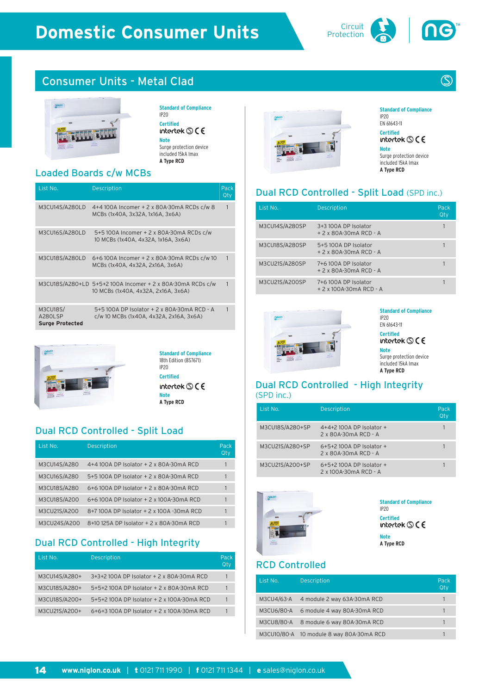#### Circuit **Domestic Consumer Units**



# Consumer Units - Metal Clad



#### **Standard of Compliance** IP20 **Certified**<br>intertek **S** C E **Note** Surge protection device

included 15kA Imax **A Type RCD**

### Loaded Boards c/w MCBs

| List No.                                      | <b>Description</b>                                                                                | Pack<br>Qty |
|-----------------------------------------------|---------------------------------------------------------------------------------------------------|-------------|
| M3CU14S/A280LD                                | 4+4 100A Incomer + 2 x 80A-30mA RCDs c/w 8<br>MCBs (1x40A, 3x32A, 1x16A, 3x6A)                    |             |
| M3CU16S/A280LD                                | 5+5 100A Incomer + 2 x 80A-30mA RCDs c/w<br>10 MCBs (1x40A, 4x32A, 1x16A, 3x6A)                   |             |
| M3CU18S/A280LD                                | 6+6 100A Incomer + 2 x 80A-30mA RCDs c/w 10<br>MCBs (1x40A, 4x32A, 2x16A, 3x6A)                   |             |
|                                               | M3CU18S/A280+LD 5+5+2 100A Incomer + 2 x 80A-30mA RCDs c/w<br>10 MCBs (1x40A, 4x32A, 2x16A, 3x6A) |             |
| M3CU18S/<br>A280LSP<br><b>Surge Protected</b> | 5+5 100A DP Isolator + 2 x 80A-30mA RCD - A<br>c/w 10 MCBs (1x40A, 4x32A, 2x16A, 3x6A)            |             |



**Standard of Compliance** 18th Edition (BS7671) IP20 **Certified** intertek  $\mathbb{S}$  ( $\epsilon$ **Note A Type RCD**

### Dual RCD Controlled - Split Load

| List No.     | <b>Description</b>                        | Pack<br>Qty |
|--------------|-------------------------------------------|-------------|
| M3CU14S/A280 | 4+4 100A DP Isolator + 2 x 80A-30mA RCD   |             |
| M3CU16S/A280 | 5+5 100A DP Isolator + 2 x 80A-30mA RCD   |             |
| M3CU18S/A280 | 6+6 100A DP Isolator + 2 x 80A-30mA RCD   |             |
| M3CU18S/A200 | 6+6 100A DP Isolator + 2 x 100A-30mA RCD  |             |
| M3CU21S/A200 | 8+7 100A DP Isolator + 2 x 100A -30mA RCD |             |
| M3CU24S/A200 | 8+10 125A DP Isolator + 2 x 80A-30mA RCD  |             |

## **Dual RCD Controlled - High Integrity**

| List No.      | <b>Description</b>                         | Pack<br>Qty |
|---------------|--------------------------------------------|-------------|
| M3CU14S/A280+ | 3+3+2 100A DP Isolator + 2 x 80A-30mA RCD  |             |
| M3CU18S/A280+ | 5+5+2 100A DP Isolator + 2 x 80A-30mA RCD  |             |
| M3CU18S/A200+ | 5+5+2 100A DP Isolator + 2 x 100A-30mA RCD |             |
| M3CU21S/A200+ | 6+6+3 100A DP Isolator + 2 x 100A-30mA RCD |             |



**Standard of Compliance** IP20 EN 61643-11 **Certified**<br>intertek **S** C E

**Note** Surge protection device included 15kA Imax **A Type RCD**

# Dual RCD Controlled - Split Load (SPD inc.)

| List No.       | <b>Description</b>                             | Pack<br>Qty |
|----------------|------------------------------------------------|-------------|
| M3CU14S/A280SP | 3+3 100A DP Isolator<br>$+2x80A-30mA$ RCD - A  |             |
| M3CU18S/A280SP | 5+5100A DP Isolator<br>$+2x80A-30mA$ RCD - A   |             |
| M3CU21S/A280SP | 7+6100A DP Isolator<br>+ 2 x 80A-30mA RCD - A  |             |
| M3CU21S/A200SP | 7+6100A DP Isolator<br>+ 2 x 100A-30mA RCD - A |             |



**Standard of Compliance** IP20 EN 61643-11 **Certified**<br>intertek **S** C E **Note**

Surge protection device included 15kA Imax **A Type RCD**

#### Dual RCD Controlled - High Integrity (SPD inc.)

| List No.        | <b>Description</b>                                  | Pack<br>Otv |
|-----------------|-----------------------------------------------------|-------------|
| M3CU18S/A280+SP | $4+4+2$ 100A DP Isolator +<br>2 x 80A-30mA RCD - A  |             |
| M3CU21S/A280+SP | $6+5+2$ 100A DP Isolator +<br>2 x 80A-30mA RCD - A  |             |
| M3CU21S/A200+SP | $6+5+2$ 100A DP Isolator +<br>2 x 100A-30mA RCD - A |             |



**Standard of Compliance** IP20 **Certified**<br>intertek **S** C E **Note**<br>**A** Type RCD

### RCD Controlled

| List No.   | <b>Description</b>                       | Pack<br>Qty |
|------------|------------------------------------------|-------------|
| M3CU4/63-A | 4 module 2 way 63A-30mA RCD              |             |
| M3CU6/80-A | 6 module 4 way 80A-30mA RCD              |             |
| M3CU8/80-A | 8 module 6 way 80A-30mA RCD              |             |
|            | M3CU10/80-A 10 module 8 way 80A-30mA RCD |             |